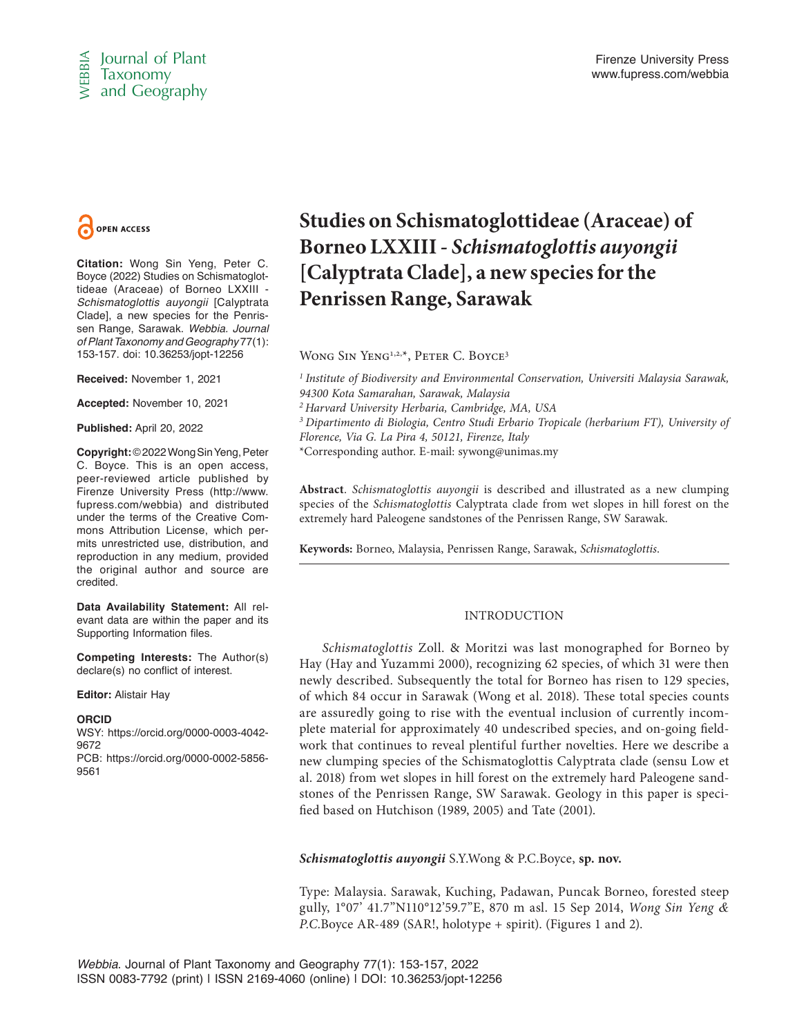



**Citation:** Wong Sin Yeng, Peter C. Boyce (2022) Studies on Schismatoglottideae (Araceae) of Borneo LXXIII - *Schismatoglottis auyongii* [Calyptrata Clade], a new species for the Penrissen Range, Sarawak. *Webbia. Journal of Plant Taxonomy and Geography* 77(1): 153-157. doi: 10.36253/jopt-12256

**Received:** November 1, 2021

**Accepted:** November 10, 2021

**Published:** April 20, 2022

**Copyright:** © 2022 Wong Sin Yeng, Peter C. Boyce. This is an open access, peer-reviewed article published by Firenze University Press (http://www. fupress.com/webbia) and distributed under the terms of the Creative Commons Attribution License, which permits unrestricted use, distribution, and reproduction in any medium, provided the original author and source are credited.

**Data Availability Statement:** All relevant data are within the paper and its Supporting Information files.

**Competing Interests:** The Author(s) declare(s) no conflict of interest.

**Editor:** Alistair Hay

### **ORCID**

WSY: https://orcid.org/0000-0003-4042- 9672 PCB: https://orcid.org/0000-0002-5856- 9561

# **Studies on Schismatoglottideae (Araceae) of Borneo LXXIII -** *Schismatoglottis auyongii* **[Calyptrata Clade], a new species for the Penrissen Range, Sarawak**

WONG SIN YENG<sup>1,2,\*</sup>, PETER C. BOYCE<sup>3</sup>

*1 Institute of Biodiversity and Environmental Conservation, Universiti Malaysia Sarawak, 94300 Kota Samarahan, Sarawak, Malaysia 2 Harvard University Herbaria, Cambridge, MA, USA*

*3 Dipartimento di Biologia, Centro Studi Erbario Tropicale (herbarium FT), University of Florence, Via G. La Pira 4, 50121, Firenze, Italy*

\*Corresponding author. E-mail: sywong@unimas.my

**Abstract**. *Schismatoglottis auyongii* is described and illustrated as a new clumping species of the *Schismatoglottis* Calyptrata clade from wet slopes in hill forest on the extremely hard Paleogene sandstones of the Penrissen Range, SW Sarawak.

**Keywords:** Borneo, Malaysia, Penrissen Range, Sarawak, *Schismatoglottis*.

# INTRODUCTION

**Constrained** Simple (Studies **on Schismatog**)<br>
ISSN 0083-7792 (David Some of the Studies of Schismatography<br>
ISSN 2169-4060 (2022) Studies on Schismatoglet [Callyptrata Clade], a n<br>
Beneficial Callyptrata Clade], a n<br>
Sc *Schismatoglottis* Zoll. & Moritzi was last monographed for Borneo by Hay (Hay and Yuzammi 2000), recognizing 62 species, of which 31 were then newly described. Subsequently the total for Borneo has risen to 129 species, of which 84 occur in Sarawak (Wong et al. 2018). These total species counts are assuredly going to rise with the eventual inclusion of currently incomplete material for approximately 40 undescribed species, and on-going fieldwork that continues to reveal plentiful further novelties. Here we describe a new clumping species of the Schismatoglottis Calyptrata clade (sensu Low et al. 2018) from wet slopes in hill forest on the extremely hard Paleogene sandstones of the Penrissen Range, SW Sarawak. Geology in this paper is specified based on Hutchison (1989, 2005) and Tate (2001).

*Schismatoglottis auyongii* S.Y.Wong & P.C.Boyce, **sp. nov.**

Type: Malaysia. Sarawak, Kuching, Padawan, Puncak Borneo, forested steep gully, 1°07' 41.7"N110°12'59.7"E, 870 m asl. 15 Sep 2014, *Wong Sin Yeng & P.C.*Boyce AR-489 (SAR!, holotype + spirit). (Figures 1 and 2).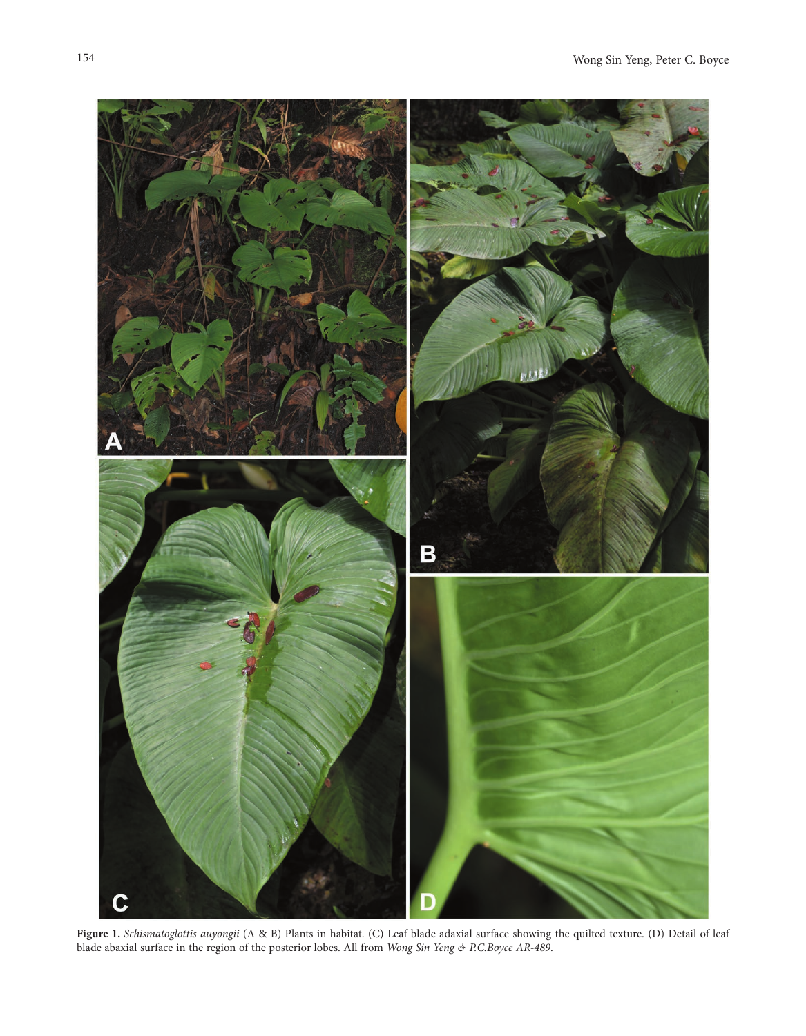

**Figure 1.** *Schismatoglottis auyongii* (A & B) Plants in habitat. (C) Leaf blade adaxial surface showing the quilted texture. (D) Detail of leaf blade abaxial surface in the region of the posterior lobes. All from *Wong Sin Yeng & P.C.Boyce AR-489*.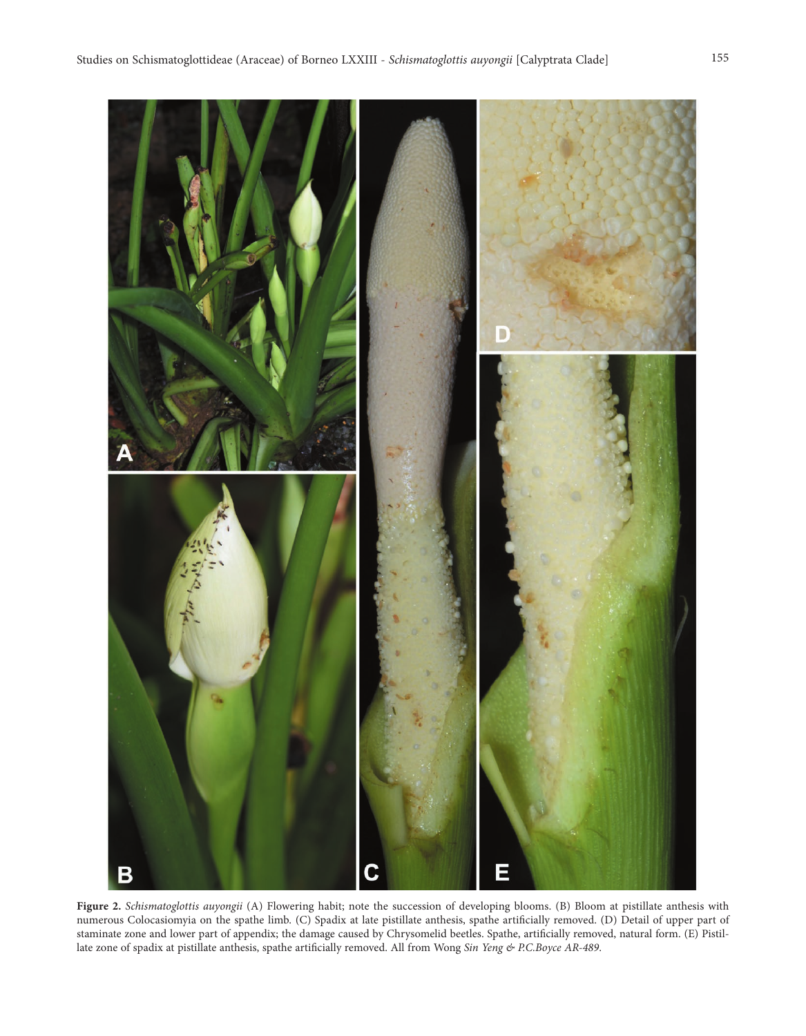

**Figure 2.** *Schismatoglottis auyongii* (A) Flowering habit; note the succession of developing blooms. (B) Bloom at pistillate anthesis with numerous Colocasiomyia on the spathe limb. (C) Spadix at late pistillate anthesis, spathe artificially removed. (D) Detail of upper part of staminate zone and lower part of appendix; the damage caused by Chrysomelid beetles. Spathe, artificially removed, natural form. (E) Pistillate zone of spadix at pistillate anthesis, spathe artificially removed. All from Wong *Sin Yeng & P.C.Boyce AR-489*.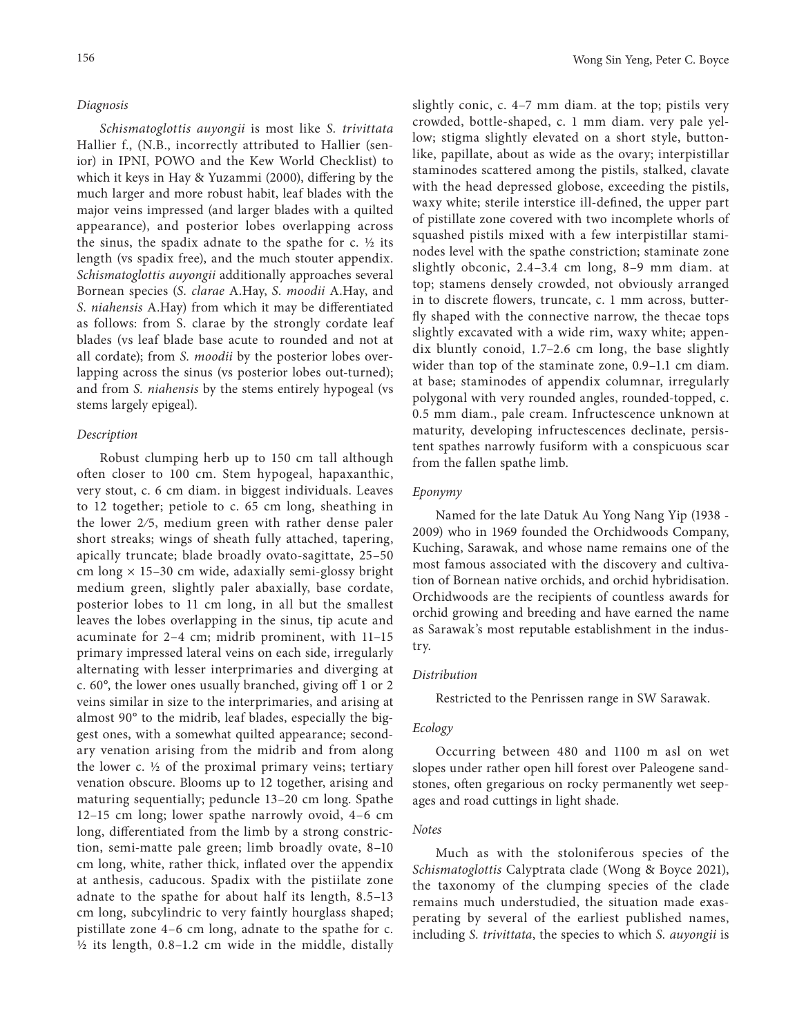### *Diagnosis*

*Schismatoglottis auyongii* is most like *S. trivittata* Hallier f., (N.B., incorrectly attributed to Hallier (senior) in IPNI, POWO and the Kew World Checklist) to which it keys in Hay & Yuzammi (2000), differing by the much larger and more robust habit, leaf blades with the major veins impressed (and larger blades with a quilted appearance), and posterior lobes overlapping across the sinus, the spadix adnate to the spathe for  $c$ .  $\frac{1}{2}$  its length (vs spadix free), and the much stouter appendix. *Schismatoglottis auyongii* additionally approaches several Bornean species (*S. clarae* A.Hay, *S. moodii* A.Hay, and *S. niahensis* A.Hay) from which it may be differentiated as follows: from S. clarae by the strongly cordate leaf blades (vs leaf blade base acute to rounded and not at all cordate); from *S. moodii* by the posterior lobes overlapping across the sinus (vs posterior lobes out-turned); and from *S. niahensis* by the stems entirely hypogeal (vs stems largely epigeal).

## *Description*

Robust clumping herb up to 150 cm tall although often closer to 100 cm. Stem hypogeal, hapaxanthic, very stout, c. 6 cm diam. in biggest individuals. Leaves to 12 together; petiole to c. 65 cm long, sheathing in the lower 2⁄5, medium green with rather dense paler short streaks; wings of sheath fully attached, tapering, apically truncate; blade broadly ovato-sagittate, 25–50 cm long  $\times$  15–30 cm wide, adaxially semi-glossy bright medium green, slightly paler abaxially, base cordate, posterior lobes to 11 cm long, in all but the smallest leaves the lobes overlapping in the sinus, tip acute and acuminate for 2–4 cm; midrib prominent, with 11–15 primary impressed lateral veins on each side, irregularly alternating with lesser interprimaries and diverging at c. 60°, the lower ones usually branched, giving off 1 or 2 veins similar in size to the interprimaries, and arising at almost 90° to the midrib, leaf blades, especially the biggest ones, with a somewhat quilted appearance; secondary venation arising from the midrib and from along the lower  $c.$  ½ of the proximal primary veins; tertiary venation obscure. Blooms up to 12 together, arising and maturing sequentially; peduncle 13–20 cm long. Spathe 12–15 cm long; lower spathe narrowly ovoid, 4–6 cm long, differentiated from the limb by a strong constriction, semi-matte pale green; limb broadly ovate, 8–10 cm long, white, rather thick, inflated over the appendix at anthesis, caducous. Spadix with the pistiilate zone adnate to the spathe for about half its length, 8.5–13 cm long, subcylindric to very faintly hourglass shaped; pistillate zone 4–6 cm long, adnate to the spathe for c. ½ its length, 0.8–1.2 cm wide in the middle, distally

slightly conic, c. 4–7 mm diam. at the top; pistils very crowded, bottle-shaped, c. 1 mm diam. very pale yellow; stigma slightly elevated on a short style, buttonlike, papillate, about as wide as the ovary; interpistillar staminodes scattered among the pistils, stalked, clavate with the head depressed globose, exceeding the pistils, waxy white; sterile interstice ill-defined, the upper part of pistillate zone covered with two incomplete whorls of squashed pistils mixed with a few interpistillar staminodes level with the spathe constriction; staminate zone slightly obconic, 2.4–3.4 cm long, 8–9 mm diam. at top; stamens densely crowded, not obviously arranged in to discrete flowers, truncate, c. 1 mm across, butterfly shaped with the connective narrow, the thecae tops slightly excavated with a wide rim, waxy white; appendix bluntly conoid, 1.7–2.6 cm long, the base slightly wider than top of the staminate zone, 0.9–1.1 cm diam. at base; staminodes of appendix columnar, irregularly polygonal with very rounded angles, rounded-topped, c. 0.5 mm diam., pale cream. Infructescence unknown at maturity, developing infructescences declinate, persistent spathes narrowly fusiform with a conspicuous scar from the fallen spathe limb.

## *Eponymy*

Named for the late Datuk Au Yong Nang Yip (1938 - 2009) who in 1969 founded the Orchidwoods Company, Kuching, Sarawak, and whose name remains one of the most famous associated with the discovery and cultivation of Bornean native orchids, and orchid hybridisation. Orchidwoods are the recipients of countless awards for orchid growing and breeding and have earned the name as Sarawak's most reputable establishment in the industry.

### *Distribution*

Restricted to the Penrissen range in SW Sarawak.

## *Ecology*

Occurring between 480 and 1100 m asl on wet slopes under rather open hill forest over Paleogene sandstones, often gregarious on rocky permanently wet seepages and road cuttings in light shade.

#### *Notes*

Much as with the stoloniferous species of the *Schismatoglottis* Calyptrata clade (Wong & Boyce 2021), the taxonomy of the clumping species of the clade remains much understudied, the situation made exasperating by several of the earliest published names, including *S. trivittata*, the species to which *S. auyongii* is